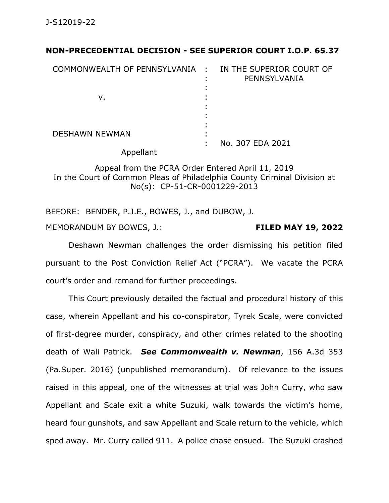## **NON-PRECEDENTIAL DECISION - SEE SUPERIOR COURT I.O.P. 65.37**

| COMMONWEALTH OF PENNSYLVANIA : IN THE SUPERIOR COURT OF | PENNSYLVANIA     |
|---------------------------------------------------------|------------------|
| v.                                                      |                  |
| <b>DESHAWN NEWMAN</b>                                   | No. 307 EDA 2021 |

Appellant

Appeal from the PCRA Order Entered April 11, 2019 In the Court of Common Pleas of Philadelphia County Criminal Division at No(s): CP-51-CR-0001229-2013

BEFORE: BENDER, P.J.E., BOWES, J., and DUBOW, J. MEMORANDUM BY BOWES, J.: **FILED MAY 19, 2022**

Deshawn Newman challenges the order dismissing his petition filed pursuant to the Post Conviction Relief Act ("PCRA"). We vacate the PCRA court's order and remand for further proceedings.

This Court previously detailed the factual and procedural history of this case, wherein Appellant and his co-conspirator, Tyrek Scale, were convicted of first-degree murder, conspiracy, and other crimes related to the shooting death of Wali Patrick. *See Commonwealth v. Newman*, 156 A.3d 353 (Pa.Super. 2016) (unpublished memorandum). Of relevance to the issues raised in this appeal, one of the witnesses at trial was John Curry, who saw Appellant and Scale exit a white Suzuki, walk towards the victim's home, heard four gunshots, and saw Appellant and Scale return to the vehicle, which sped away. Mr. Curry called 911. A police chase ensued. The Suzuki crashed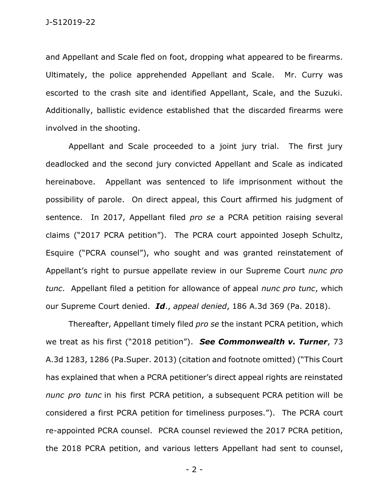and Appellant and Scale fled on foot, dropping what appeared to be firearms. Ultimately, the police apprehended Appellant and Scale. Mr. Curry was escorted to the crash site and identified Appellant, Scale, and the Suzuki. Additionally, ballistic evidence established that the discarded firearms were involved in the shooting.

Appellant and Scale proceeded to a joint jury trial. The first jury deadlocked and the second jury convicted Appellant and Scale as indicated hereinabove. Appellant was sentenced to life imprisonment without the possibility of parole. On direct appeal, this Court affirmed his judgment of sentence. In 2017, Appellant filed *pro se* a PCRA petition raising several claims ("2017 PCRA petition"). The PCRA court appointed Joseph Schultz, Esquire ("PCRA counsel"), who sought and was granted reinstatement of Appellant's right to pursue appellate review in our Supreme Court *nunc pro tunc*. Appellant filed a petition for allowance of appeal *nunc pro tunc*, which our Supreme Court denied. *Id*., *appeal denied*, 186 A.3d 369 (Pa. 2018).

Thereafter, Appellant timely filed *pro se* the instant PCRA petition, which we treat as his first ("2018 petition"). *See Commonwealth v. Turner*, 73 A.3d 1283, 1286 (Pa.Super. 2013) (citation and footnote omitted) ("This Court has explained that when a PCRA petitioner's direct appeal rights are reinstated *nunc pro tunc* in his first PCRA petition, a subsequent PCRA petition will be considered a first PCRA petition for timeliness purposes."). The PCRA court re-appointed PCRA counsel. PCRA counsel reviewed the 2017 PCRA petition, the 2018 PCRA petition, and various letters Appellant had sent to counsel,

- 2 -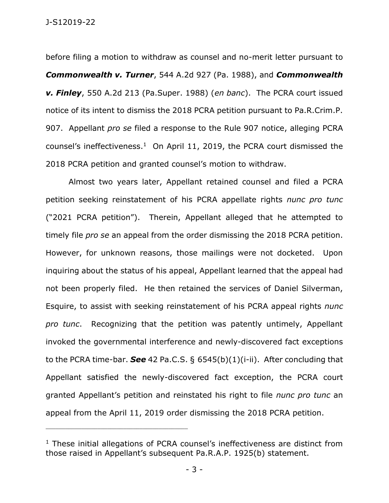J-S12019-22

before filing a motion to withdraw as counsel and no-merit letter pursuant to *Commonwealth v. Turner*, 544 A.2d 927 (Pa. 1988), and *Commonwealth v. Finley*, 550 A.2d 213 (Pa.Super. 1988) (*en banc*). The PCRA court issued notice of its intent to dismiss the 2018 PCRA petition pursuant to Pa.R.Crim.P. 907. Appellant *pro se* filed a response to the Rule 907 notice, alleging PCRA counsel's ineffectiveness. $1$  On April 11, 2019, the PCRA court dismissed the 2018 PCRA petition and granted counsel's motion to withdraw.

Almost two years later, Appellant retained counsel and filed a PCRA petition seeking reinstatement of his PCRA appellate rights *nunc pro tunc* ("2021 PCRA petition"). Therein, Appellant alleged that he attempted to timely file *pro se* an appeal from the order dismissing the 2018 PCRA petition. However, for unknown reasons, those mailings were not docketed. Upon inquiring about the status of his appeal, Appellant learned that the appeal had not been properly filed. He then retained the services of Daniel Silverman, Esquire, to assist with seeking reinstatement of his PCRA appeal rights *nunc pro tunc*. Recognizing that the petition was patently untimely, Appellant invoked the governmental interference and newly-discovered fact exceptions to the PCRA time-bar. *See* 42 Pa.C.S. § 6545(b)(1)(i-ii). After concluding that Appellant satisfied the newly-discovered fact exception, the PCRA court granted Appellant's petition and reinstated his right to file *nunc pro tunc* an appeal from the April 11, 2019 order dismissing the 2018 PCRA petition.

<sup>&</sup>lt;sup>1</sup> These initial allegations of PCRA counsel's ineffectiveness are distinct from those raised in Appellant's subsequent Pa.R.A.P. 1925(b) statement.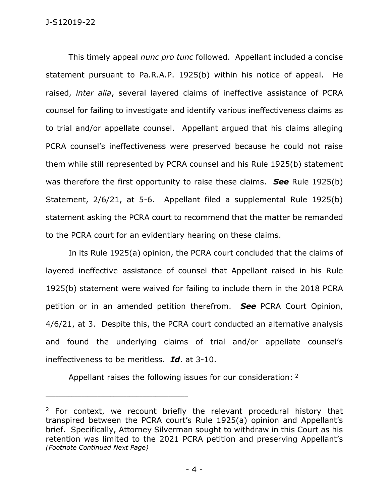This timely appeal *nunc pro tunc* followed. Appellant included a concise statement pursuant to Pa.R.A.P. 1925(b) within his notice of appeal. He raised, *inter alia*, several layered claims of ineffective assistance of PCRA counsel for failing to investigate and identify various ineffectiveness claims as to trial and/or appellate counsel. Appellant argued that his claims alleging PCRA counsel's ineffectiveness were preserved because he could not raise them while still represented by PCRA counsel and his Rule 1925(b) statement was therefore the first opportunity to raise these claims. *See* Rule 1925(b) Statement, 2/6/21, at 5-6. Appellant filed a supplemental Rule 1925(b) statement asking the PCRA court to recommend that the matter be remanded to the PCRA court for an evidentiary hearing on these claims.

In its Rule 1925(a) opinion, the PCRA court concluded that the claims of layered ineffective assistance of counsel that Appellant raised in his Rule 1925(b) statement were waived for failing to include them in the 2018 PCRA petition or in an amended petition therefrom. *See* PCRA Court Opinion, 4/6/21, at 3. Despite this, the PCRA court conducted an alternative analysis and found the underlying claims of trial and/or appellate counsel's ineffectiveness to be meritless. *Id*. at 3-10.

Appellant raises the following issues for our consideration: <sup>2</sup>

 $2$  For context, we recount briefly the relevant procedural history that transpired between the PCRA court's Rule 1925(a) opinion and Appellant's brief. Specifically, Attorney Silverman sought to withdraw in this Court as his retention was limited to the 2021 PCRA petition and preserving Appellant's *(Footnote Continued Next Page)*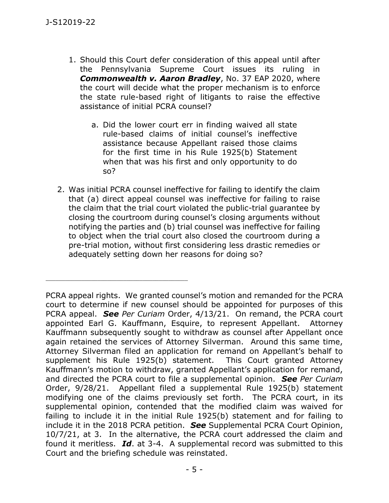- 1. Should this Court defer consideration of this appeal until after the Pennsylvania Supreme Court issues its ruling in *Commonwealth v. Aaron Bradley*, No. 37 EAP 2020, where the court will decide what the proper mechanism is to enforce the state rule-based right of litigants to raise the effective assistance of initial PCRA counsel?
	- a. Did the lower court err in finding waived all state rule-based claims of initial counsel's ineffective assistance because Appellant raised those claims for the first time in his Rule 1925(b) Statement when that was his first and only opportunity to do so?
- 2. Was initial PCRA counsel ineffective for failing to identify the claim that (a) direct appeal counsel was ineffective for failing to raise the claim that the trial court violated the public-trial guarantee by closing the courtroom during counsel's closing arguments without notifying the parties and (b) trial counsel was ineffective for failing to object when the trial court also closed the courtroom during a pre-trial motion, without first considering less drastic remedies or adequately setting down her reasons for doing so?

PCRA appeal rights. We granted counsel's motion and remanded for the PCRA court to determine if new counsel should be appointed for purposes of this PCRA appeal. *See Per Curiam* Order, 4/13/21. On remand, the PCRA court appointed Earl G. Kauffmann, Esquire, to represent Appellant. Attorney Kauffmann subsequently sought to withdraw as counsel after Appellant once again retained the services of Attorney Silverman. Around this same time, Attorney Silverman filed an application for remand on Appellant's behalf to supplement his Rule 1925(b) statement. This Court granted Attorney Kauffmann's motion to withdraw, granted Appellant's application for remand, and directed the PCRA court to file a supplemental opinion. *See Per Curiam*  Order, 9/28/21. Appellant filed a supplemental Rule 1925(b) statement modifying one of the claims previously set forth. The PCRA court, in its supplemental opinion, contended that the modified claim was waived for failing to include it in the initial Rule 1925(b) statement and for failing to include it in the 2018 PCRA petition. *See* Supplemental PCRA Court Opinion, 10/7/21, at 3. In the alternative, the PCRA court addressed the claim and found it meritless. *Id*. at 3-4. A supplemental record was submitted to this Court and the briefing schedule was reinstated.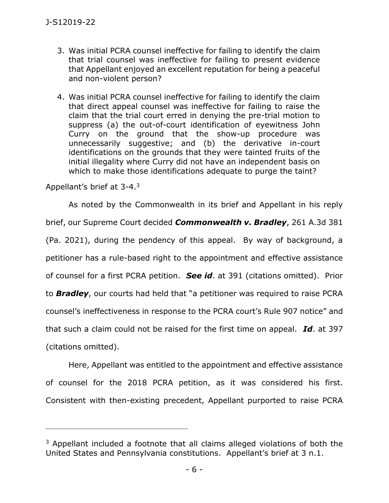- 3. Was initial PCRA counsel ineffective for failing to identify the claim that trial counsel was ineffective for failing to present evidence that Appellant enjoyed an excellent reputation for being a peaceful and non-violent person?
- 4. Was initial PCRA counsel ineffective for failing to identify the claim that direct appeal counsel was ineffective for failing to raise the claim that the trial court erred in denying the pre-trial motion to suppress (a) the out-of-court identification of eyewitness John Curry on the ground that the show-up procedure was unnecessarily suggestive; and (b) the derivative in-court identifications on the grounds that they were tainted fruits of the initial illegality where Curry did not have an independent basis on which to make those identifications adequate to purge the taint?

Appellant's brief at 3-4.<sup>3</sup>

\_\_\_\_\_\_\_\_\_\_\_\_\_\_\_\_\_\_\_\_\_\_\_\_\_\_\_\_\_\_\_\_\_\_\_\_\_\_\_\_\_\_\_\_

As noted by the Commonwealth in its brief and Appellant in his reply brief, our Supreme Court decided *Commonwealth v. Bradley*, 261 A.3d 381 (Pa. 2021), during the pendency of this appeal. By way of background, a petitioner has a rule-based right to the appointment and effective assistance of counsel for a first PCRA petition. *See id*. at 391 (citations omitted). Prior to *Bradley*, our courts had held that "a petitioner was required to raise PCRA counsel's ineffectiveness in response to the PCRA court's Rule 907 notice" and that such a claim could not be raised for the first time on appeal. *Id*. at 397 (citations omitted).

Here, Appellant was entitled to the appointment and effective assistance of counsel for the 2018 PCRA petition, as it was considered his first. Consistent with then-existing precedent, Appellant purported to raise PCRA

<sup>&</sup>lt;sup>3</sup> Appellant included a footnote that all claims alleged violations of both the United States and Pennsylvania constitutions. Appellant's brief at 3 n.1.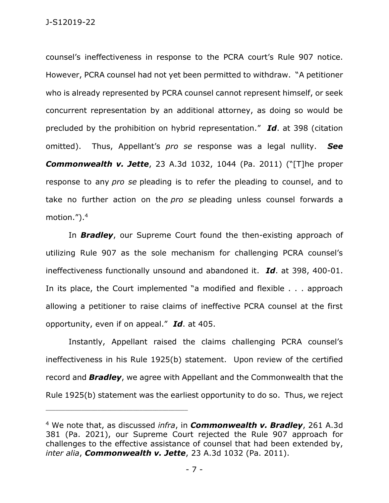counsel's ineffectiveness in response to the PCRA court's Rule 907 notice. However, PCRA counsel had not yet been permitted to withdraw. "A petitioner who is already represented by PCRA counsel cannot represent himself, or seek concurrent representation by an additional attorney, as doing so would be precluded by the prohibition on hybrid representation." *Id*. at 398 (citation omitted). Thus, Appellant's *pro se* response was a legal nullity. *See Commonwealth v. Jette*, 23 A.3d 1032, 1044 (Pa. 2011) ("[T]he proper response to any *pro se* pleading is to refer the pleading to counsel, and to take no further action on the *pro se* pleading unless counsel forwards a motion.").<sup>4</sup>

In *Bradley*, our Supreme Court found the then-existing approach of utilizing Rule 907 as the sole mechanism for challenging PCRA counsel's ineffectiveness functionally unsound and abandoned it. *Id*. at 398, 400-01. In its place, the Court implemented "a modified and flexible . . . approach allowing a petitioner to raise claims of ineffective PCRA counsel at the first opportunity, even if on appeal." *Id*. at 405.

Instantly, Appellant raised the claims challenging PCRA counsel's ineffectiveness in his Rule 1925(b) statement. Upon review of the certified record and *Bradley*, we agree with Appellant and the Commonwealth that the Rule 1925(b) statement was the earliest opportunity to do so. Thus, we reject

<sup>4</sup> We note that, as discussed *infra*, in *Commonwealth v. Bradley*, 261 A.3d 381 (Pa. 2021), our Supreme Court rejected the Rule 907 approach for challenges to the effective assistance of counsel that had been extended by, *inter alia*, *Commonwealth v. Jette*, 23 A.3d 1032 (Pa. 2011).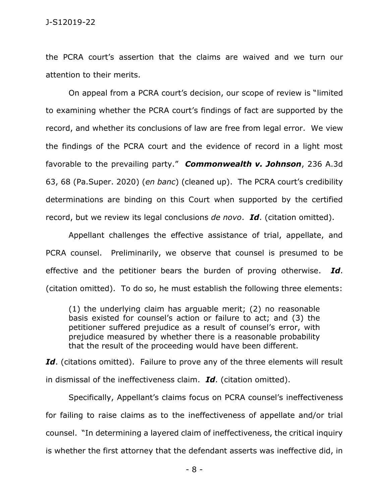the PCRA court's assertion that the claims are waived and we turn our attention to their merits.

On appeal from a PCRA court's decision, our scope of review is "limited to examining whether the PCRA court's findings of fact are supported by the record, and whether its conclusions of law are free from legal error. We view the findings of the PCRA court and the evidence of record in a light most favorable to the prevailing party." *Commonwealth v. Johnson*, 236 A.3d 63, 68 (Pa.Super. 2020) (*en banc*) (cleaned up). The PCRA court's credibility determinations are binding on this Court when supported by the certified record, but we review its legal conclusions *de novo*. *Id*. (citation omitted).

Appellant challenges the effective assistance of trial, appellate, and PCRA counsel. Preliminarily, we observe that counsel is presumed to be effective and the petitioner bears the burden of proving otherwise. *Id*. (citation omitted). To do so, he must establish the following three elements:

(1) the underlying claim has arguable merit; (2) no reasonable basis existed for counsel's action or failure to act; and (3) the petitioner suffered prejudice as a result of counsel's error, with prejudice measured by whether there is a reasonable probability that the result of the proceeding would have been different.

Id. (citations omitted). Failure to prove any of the three elements will result in dismissal of the ineffectiveness claim. *Id*. (citation omitted).

Specifically, Appellant's claims focus on PCRA counsel's ineffectiveness for failing to raise claims as to the ineffectiveness of appellate and/or trial counsel. "In determining a layered claim of ineffectiveness, the critical inquiry is whether the first attorney that the defendant asserts was ineffective did, in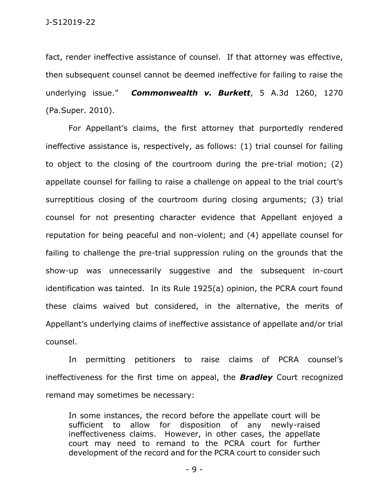fact, render ineffective assistance of counsel. If that attorney was effective, then subsequent counsel cannot be deemed ineffective for failing to raise the underlying issue." *Commonwealth v. Burkett*, 5 A.3d 1260, 1270 (Pa.Super. 2010).

For Appellant's claims, the first attorney that purportedly rendered ineffective assistance is, respectively, as follows: (1) trial counsel for failing to object to the closing of the courtroom during the pre-trial motion; (2) appellate counsel for failing to raise a challenge on appeal to the trial court's surreptitious closing of the courtroom during closing arguments; (3) trial counsel for not presenting character evidence that Appellant enjoyed a reputation for being peaceful and non-violent; and (4) appellate counsel for failing to challenge the pre-trial suppression ruling on the grounds that the show-up was unnecessarily suggestive and the subsequent in-court identification was tainted. In its Rule 1925(a) opinion, the PCRA court found these claims waived but considered, in the alternative, the merits of Appellant's underlying claims of ineffective assistance of appellate and/or trial counsel.

In permitting petitioners to raise claims of PCRA counsel's ineffectiveness for the first time on appeal, the *Bradley* Court recognized remand may sometimes be necessary:

In some instances, the record before the appellate court will be sufficient to allow for disposition of any newly-raised ineffectiveness claims. However, in other cases, the appellate court may need to remand to the PCRA court for further development of the record and for the PCRA court to consider such

- 9 -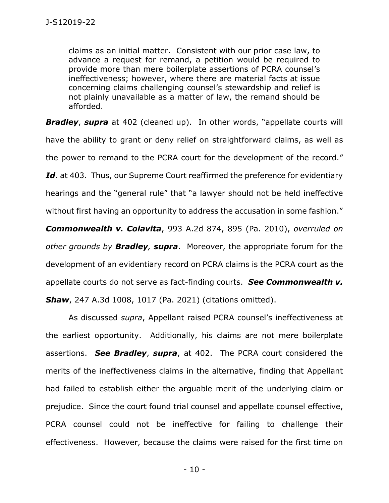claims as an initial matter. Consistent with our prior case law, to advance a request for remand, a petition would be required to provide more than mere boilerplate assertions of PCRA counsel's ineffectiveness; however, where there are material facts at issue concerning claims challenging counsel's stewardship and relief is not plainly unavailable as a matter of law, the remand should be afforded.

**Bradley, supra** at 402 (cleaned up). In other words, "appellate courts will have the ability to grant or deny relief on straightforward claims, as well as the power to remand to the PCRA court for the development of the record." Id. at 403. Thus, our Supreme Court reaffirmed the preference for evidentiary hearings and the "general rule" that "a lawyer should not be held ineffective without first having an opportunity to address the accusation in some fashion."

*Commonwealth v. Colavita*, 993 A.2d 874, 895 (Pa. 2010), *overruled on other grounds by Bradley, supra*. Moreover, the appropriate forum for the development of an evidentiary record on PCRA claims is the PCRA court as the appellate courts do not serve as fact-finding courts. *See Commonwealth v. Shaw*, 247 A.3d 1008, 1017 (Pa. 2021) (citations omitted).

As discussed *supra*, Appellant raised PCRA counsel's ineffectiveness at the earliest opportunity. Additionally, his claims are not mere boilerplate assertions. *See Bradley*, *supra*, at 402. The PCRA court considered the merits of the ineffectiveness claims in the alternative, finding that Appellant had failed to establish either the arguable merit of the underlying claim or prejudice. Since the court found trial counsel and appellate counsel effective, PCRA counsel could not be ineffective for failing to challenge their effectiveness. However, because the claims were raised for the first time on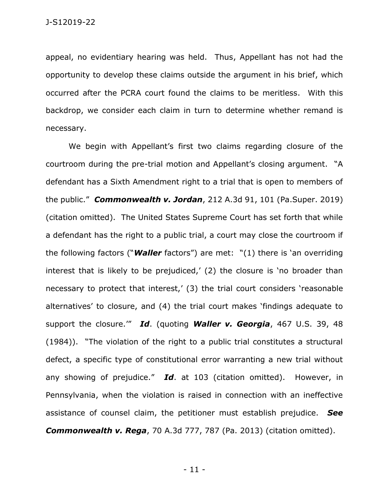appeal, no evidentiary hearing was held. Thus, Appellant has not had the opportunity to develop these claims outside the argument in his brief, which occurred after the PCRA court found the claims to be meritless. With this backdrop, we consider each claim in turn to determine whether remand is necessary.

We begin with Appellant's first two claims regarding closure of the courtroom during the pre-trial motion and Appellant's closing argument. "A defendant has a Sixth Amendment right to a trial that is open to members of the public." *Commonwealth v. Jordan*, 212 A.3d 91, 101 (Pa.Super. 2019) (citation omitted). The United States Supreme Court has set forth that while a defendant has the right to a public trial, a court may close the courtroom if the following factors ("*Waller* factors") are met: "(1) there is 'an overriding interest that is likely to be prejudiced,' (2) the closure is 'no broader than necessary to protect that interest,' (3) the trial court considers 'reasonable alternatives' to closure, and (4) the trial court makes 'findings adequate to support the closure.'" *Id*. (quoting *Waller v. Georgia*, 467 U.S. 39, 48 (1984)). "The violation of the right to a public trial constitutes a structural defect, a specific type of constitutional error warranting a new trial without any showing of prejudice." *Id*. at 103 (citation omitted). However, in Pennsylvania, when the violation is raised in connection with an ineffective assistance of counsel claim, the petitioner must establish prejudice. *See Commonwealth v. Rega*, 70 A.3d 777, 787 (Pa. 2013) (citation omitted).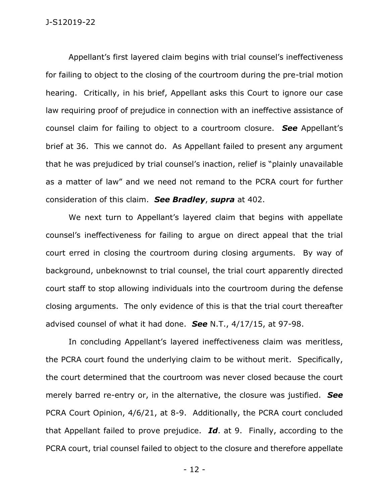Appellant's first layered claim begins with trial counsel's ineffectiveness for failing to object to the closing of the courtroom during the pre-trial motion hearing. Critically, in his brief, Appellant asks this Court to ignore our case law requiring proof of prejudice in connection with an ineffective assistance of counsel claim for failing to object to a courtroom closure. *See* Appellant's brief at 36. This we cannot do. As Appellant failed to present any argument that he was prejudiced by trial counsel's inaction, relief is "plainly unavailable as a matter of law" and we need not remand to the PCRA court for further consideration of this claim. *See Bradley*, *supra* at 402.

We next turn to Appellant's layered claim that begins with appellate counsel's ineffectiveness for failing to argue on direct appeal that the trial court erred in closing the courtroom during closing arguments. By way of background, unbeknownst to trial counsel, the trial court apparently directed court staff to stop allowing individuals into the courtroom during the defense closing arguments. The only evidence of this is that the trial court thereafter advised counsel of what it had done. *See* N.T., 4/17/15, at 97-98.

In concluding Appellant's layered ineffectiveness claim was meritless, the PCRA court found the underlying claim to be without merit. Specifically, the court determined that the courtroom was never closed because the court merely barred re-entry or, in the alternative, the closure was justified. *See*  PCRA Court Opinion, 4/6/21, at 8-9. Additionally, the PCRA court concluded that Appellant failed to prove prejudice. *Id*. at 9. Finally, according to the PCRA court, trial counsel failed to object to the closure and therefore appellate

- 12 -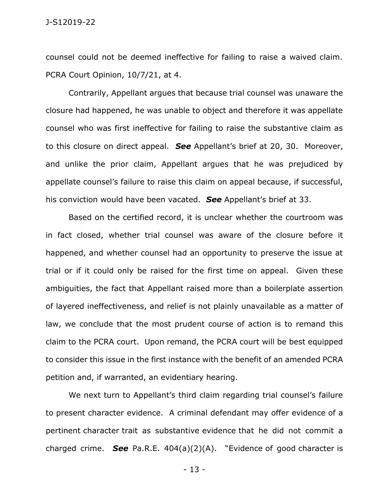counsel could not be deemed ineffective for failing to raise a waived claim. PCRA Court Opinion, 10/7/21, at 4.

Contrarily, Appellant argues that because trial counsel was unaware the closure had happened, he was unable to object and therefore it was appellate counsel who was first ineffective for failing to raise the substantive claim as to this closure on direct appeal. *See* Appellant's brief at 20, 30. Moreover, and unlike the prior claim, Appellant argues that he was prejudiced by appellate counsel's failure to raise this claim on appeal because, if successful, his conviction would have been vacated. *See* Appellant's brief at 33.

Based on the certified record, it is unclear whether the courtroom was in fact closed, whether trial counsel was aware of the closure before it happened, and whether counsel had an opportunity to preserve the issue at trial or if it could only be raised for the first time on appeal. Given these ambiguities, the fact that Appellant raised more than a boilerplate assertion of layered ineffectiveness, and relief is not plainly unavailable as a matter of law, we conclude that the most prudent course of action is to remand this claim to the PCRA court. Upon remand, the PCRA court will be best equipped to consider this issue in the first instance with the benefit of an amended PCRA petition and, if warranted, an evidentiary hearing.

We next turn to Appellant's third claim regarding trial counsel's failure to present character evidence. A criminal defendant may offer evidence of a pertinent character trait as substantive evidence that he did not commit a charged crime. *See* Pa.R.E. 404(a)(2)(A). "Evidence of good character is

- 13 -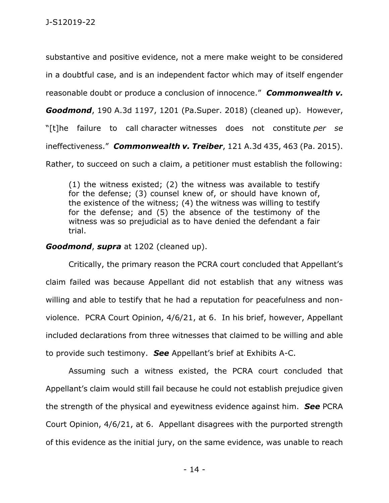substantive and positive evidence, not a mere make weight to be considered in a doubtful case, and is an independent factor which may of itself engender reasonable doubt or produce a conclusion of innocence." *Commonwealth v. Goodmond*, 190 A.3d 1197, 1201 (Pa.Super. 2018) (cleaned up). However, "[t]he failure to call character witnesses does not constitute *per se*  ineffectiveness." *Commonwealth v. Treiber*, 121 A.3d 435, 463 (Pa. 2015). Rather, to succeed on such a claim, a petitioner must establish the following:

(1) the witness existed; (2) the witness was available to testify for the defense; (3) counsel knew of, or should have known of, the existence of the witness; (4) the witness was willing to testify for the defense; and (5) the absence of the testimony of the witness was so prejudicial as to have denied the defendant a fair trial.

## *Goodmond*, *supra* at 1202 (cleaned up).

Critically, the primary reason the PCRA court concluded that Appellant's claim failed was because Appellant did not establish that any witness was willing and able to testify that he had a reputation for peacefulness and nonviolence. PCRA Court Opinion, 4/6/21, at 6. In his brief, however, Appellant included declarations from three witnesses that claimed to be willing and able to provide such testimony. *See* Appellant's brief at Exhibits A-C.

Assuming such a witness existed, the PCRA court concluded that Appellant's claim would still fail because he could not establish prejudice given the strength of the physical and eyewitness evidence against him. *See* PCRA Court Opinion, 4/6/21, at 6. Appellant disagrees with the purported strength of this evidence as the initial jury, on the same evidence, was unable to reach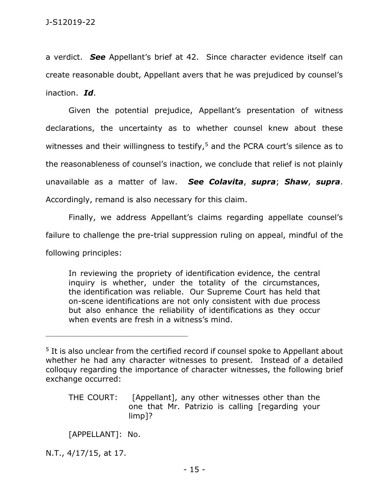a verdict. *See* Appellant's brief at 42. Since character evidence itself can create reasonable doubt, Appellant avers that he was prejudiced by counsel's inaction. *Id*.

Given the potential prejudice, Appellant's presentation of witness declarations, the uncertainty as to whether counsel knew about these witnesses and their willingness to testify, $5$  and the PCRA court's silence as to the reasonableness of counsel's inaction, we conclude that relief is not plainly unavailable as a matter of law. *See Colavita*, *supra*; *Shaw*, *supra*. Accordingly, remand is also necessary for this claim.

Finally, we address Appellant's claims regarding appellate counsel's failure to challenge the pre-trial suppression ruling on appeal, mindful of the

following principles:

In reviewing the propriety of identification evidence, the central inquiry is whether, under the totality of the circumstances, the identification was reliable. Our Supreme Court has held that on-scene identifications are not only consistent with due process but also enhance the reliability of identifications as they occur when events are fresh in a witness's mind.

THE COURT: [Appellant], any other witnesses other than the one that Mr. Patrizio is calling [regarding your limp]?

[APPELLANT]: No.

\_\_\_\_\_\_\_\_\_\_\_\_\_\_\_\_\_\_\_\_\_\_\_\_\_\_\_\_\_\_\_\_\_\_\_\_\_\_\_\_\_\_\_\_

N.T., 4/17/15, at 17.

<sup>&</sup>lt;sup>5</sup> It is also unclear from the certified record if counsel spoke to Appellant about whether he had any character witnesses to present. Instead of a detailed colloquy regarding the importance of character witnesses, the following brief exchange occurred: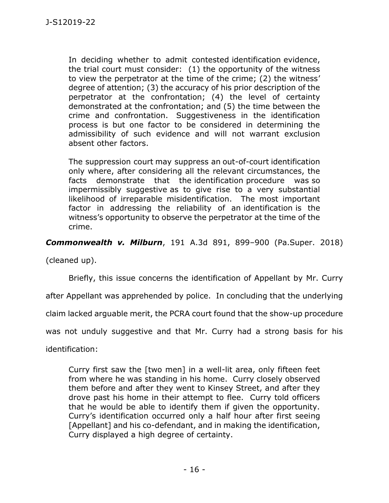In deciding whether to admit contested identification evidence, the trial court must consider: (1) the opportunity of the witness to view the perpetrator at the time of the crime; (2) the witness' degree of attention; (3) the accuracy of his prior description of the perpetrator at the confrontation; (4) the level of certainty demonstrated at the confrontation; and (5) the time between the crime and confrontation. Suggestiveness in the identification process is but one factor to be considered in determining the admissibility of such evidence and will not warrant exclusion absent other factors.

The suppression court may suppress an out-of-court identification only where, after considering all the relevant circumstances, the facts demonstrate that the identification procedure was so impermissibly suggestive as to give rise to a very substantial likelihood of irreparable misidentification. The most important factor in addressing the reliability of an identification is the witness's opportunity to observe the perpetrator at the time of the crime.

*Commonwealth v. Milburn*, 191 A.3d 891, 899–900 (Pa.Super. 2018)

(cleaned up).

Briefly, this issue concerns the identification of Appellant by Mr. Curry

after Appellant was apprehended by police. In concluding that the underlying

claim lacked arguable merit, the PCRA court found that the show-up procedure

was not unduly suggestive and that Mr. Curry had a strong basis for his

identification:

Curry first saw the [two men] in a well-lit area, only fifteen feet from where he was standing in his home. Curry closely observed them before and after they went to Kinsey Street, and after they drove past his home in their attempt to flee. Curry told officers that he would be able to identify them if given the opportunity. Curry's identification occurred only a half hour after first seeing [Appellant] and his co-defendant, and in making the identification, Curry displayed a high degree of certainty.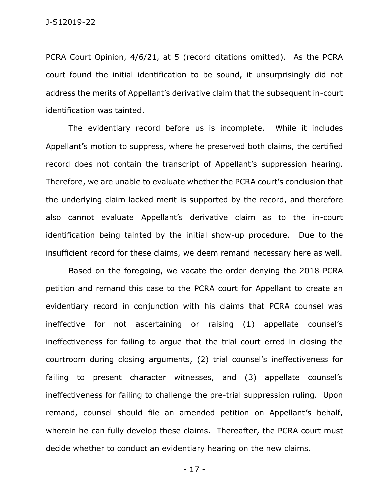J-S12019-22

PCRA Court Opinion, 4/6/21, at 5 (record citations omitted). As the PCRA court found the initial identification to be sound, it unsurprisingly did not address the merits of Appellant's derivative claim that the subsequent in-court identification was tainted.

The evidentiary record before us is incomplete. While it includes Appellant's motion to suppress, where he preserved both claims, the certified record does not contain the transcript of Appellant's suppression hearing. Therefore, we are unable to evaluate whether the PCRA court's conclusion that the underlying claim lacked merit is supported by the record, and therefore also cannot evaluate Appellant's derivative claim as to the in-court identification being tainted by the initial show-up procedure. Due to the insufficient record for these claims, we deem remand necessary here as well.

Based on the foregoing, we vacate the order denying the 2018 PCRA petition and remand this case to the PCRA court for Appellant to create an evidentiary record in conjunction with his claims that PCRA counsel was ineffective for not ascertaining or raising (1) appellate counsel's ineffectiveness for failing to argue that the trial court erred in closing the courtroom during closing arguments, (2) trial counsel's ineffectiveness for failing to present character witnesses, and (3) appellate counsel's ineffectiveness for failing to challenge the pre-trial suppression ruling. Upon remand, counsel should file an amended petition on Appellant's behalf, wherein he can fully develop these claims. Thereafter, the PCRA court must decide whether to conduct an evidentiary hearing on the new claims.

- 17 -